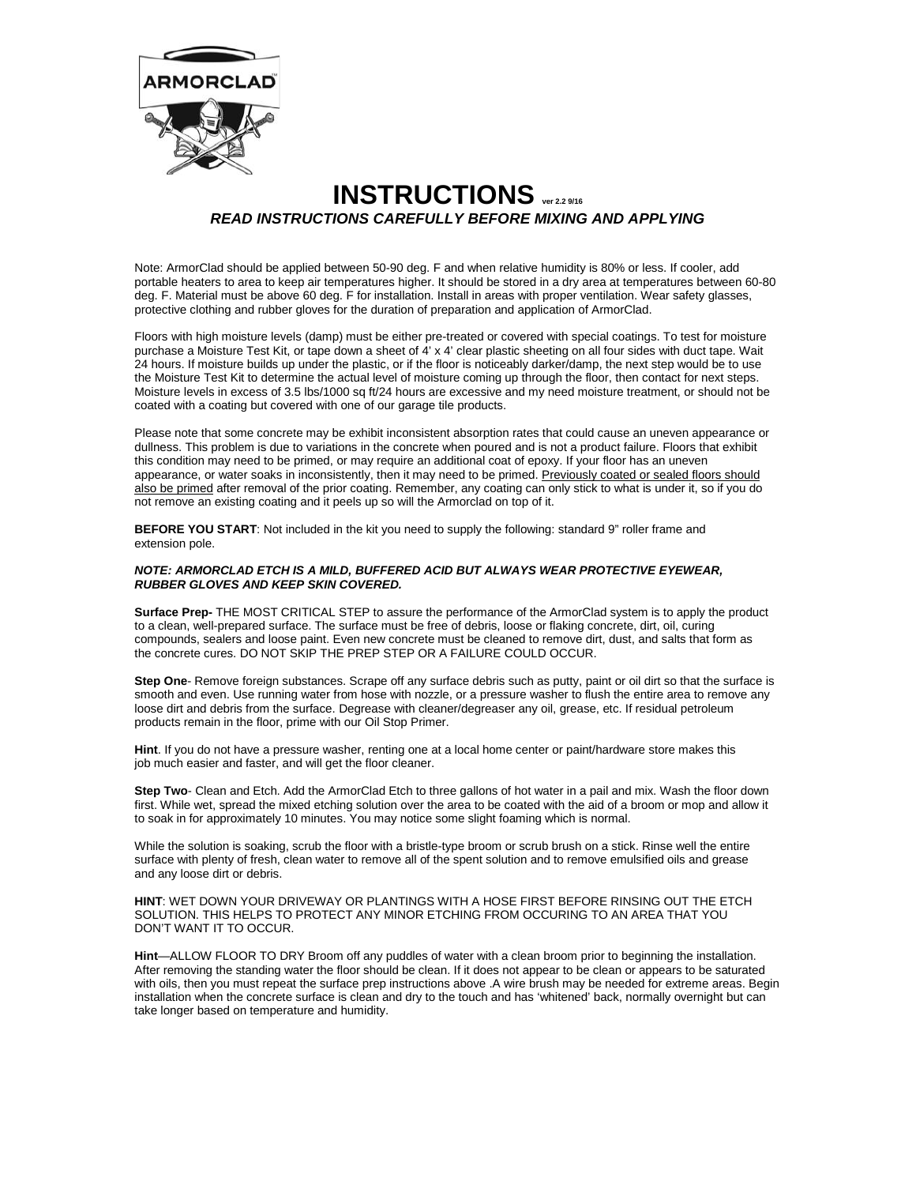

# **INSTRUCTIONS** *READ INSTRUCTIONS CAREFULLY BEFORE MIXING AND APPLYING*

Note: ArmorClad should be applied between 50-90 deg. F and when relative humidity is 80% or less. If cooler, add portable heaters to area to keep air temperatures higher. It should be stored in a dry area at temperatures between 60-80 deg. F. Material must be above 60 deg. F for installation. Install in areas with proper ventilation. Wear safety glasses, protective clothing and rubber gloves for the duration of preparation and application of ArmorClad.

Floors with high moisture levels (damp) must be either pre-treated or covered with special coatings. To test for moisture purchase a Moisture Test Kit, or tape down a sheet of 4' x 4' clear plastic sheeting on all four sides with duct tape. Wait 24 hours. If moisture builds up under the plastic, or if the floor is noticeably darker/damp, the next step would be to use the Moisture Test Kit to determine the actual level of moisture coming up through the floor, then contact for next steps. Moisture levels in excess of 3.5 lbs/1000 sq ft/24 hours are excessive and my need moisture treatment, or should not be coated with a coating but covered with one of our garage tile products.

Please note that some concrete may be exhibit inconsistent absorption rates that could cause an uneven appearance or dullness. This problem is due to variations in the concrete when poured and is not a product failure. Floors that exhibit this condition may need to be primed, or may require an additional coat of epoxy. If your floor has an uneven appearance, or water soaks in inconsistently, then it may need to be primed. Previously coated or sealed floors should also be primed after removal of the prior coating. Remember, any coating can only stick to what is under it, so if you do not remove an existing coating and it peels up so will the Armorclad on top of it.

**BEFORE YOU START**: Not included in the kit you need to supply the following: standard 9" roller frame and extension pole.

# *NOTE: ARMORCLAD ETCH IS A MILD, BUFFERED ACID BUT ALWAYS WEAR PROTECTIVE EYEWEAR, RUBBER GLOVES AND KEEP SKIN COVERED.*

**Surface Prep-** THE MOST CRITICAL STEP to assure the performance of the ArmorClad system is to apply the product to a clean, well-prepared surface. The surface must be free of debris, loose or flaking concrete, dirt, oil, curing compounds, sealers and loose paint. Even new concrete must be cleaned to remove dirt, dust, and salts that form as the concrete cures. DO NOT SKIP THE PREP STEP OR A FAILURE COULD OCCUR.

**Step One**- Remove foreign substances. Scrape off any surface debris such as putty, paint or oil dirt so that the surface is smooth and even. Use running water from hose with nozzle, or a pressure washer to flush the entire area to remove any loose dirt and debris from the surface. Degrease with cleaner/degreaser any oil, grease, etc. If residual petroleum products remain in the floor, prime with our Oil Stop Primer.

**Hint**. If you do not have a pressure washer, renting one at a local home center or paint/hardware store makes this job much easier and faster, and will get the floor cleaner.

**Step Two**- Clean and Etch. Add the ArmorClad Etch to three gallons of hot water in a pail and mix. Wash the floor down first. While wet, spread the mixed etching solution over the area to be coated with the aid of a broom or mop and allow it to soak in for approximately 10 minutes. You may notice some slight foaming which is normal.

While the solution is soaking, scrub the floor with a bristle-type broom or scrub brush on a stick. Rinse well the entire surface with plenty of fresh, clean water to remove all of the spent solution and to remove emulsified oils and grease and any loose dirt or debris.

**HINT**: WET DOWN YOUR DRIVEWAY OR PLANTINGS WITH A HOSE FIRST BEFORE RINSING OUT THE ETCH SOLUTION. THIS HELPS TO PROTECT ANY MINOR ETCHING FROM OCCURING TO AN AREA THAT YOU DON'T WANT IT TO OCCUR.

**Hint**—ALLOW FLOOR TO DRY Broom off any puddles of water with a clean broom prior to beginning the installation. After removing the standing water the floor should be clean. If it does not appear to be clean or appears to be saturated with oils, then you must repeat the surface prep instructions above .A wire brush may be needed for extreme areas. Begin installation when the concrete surface is clean and dry to the touch and has 'whitened' back, normally overnight but can take longer based on temperature and humidity.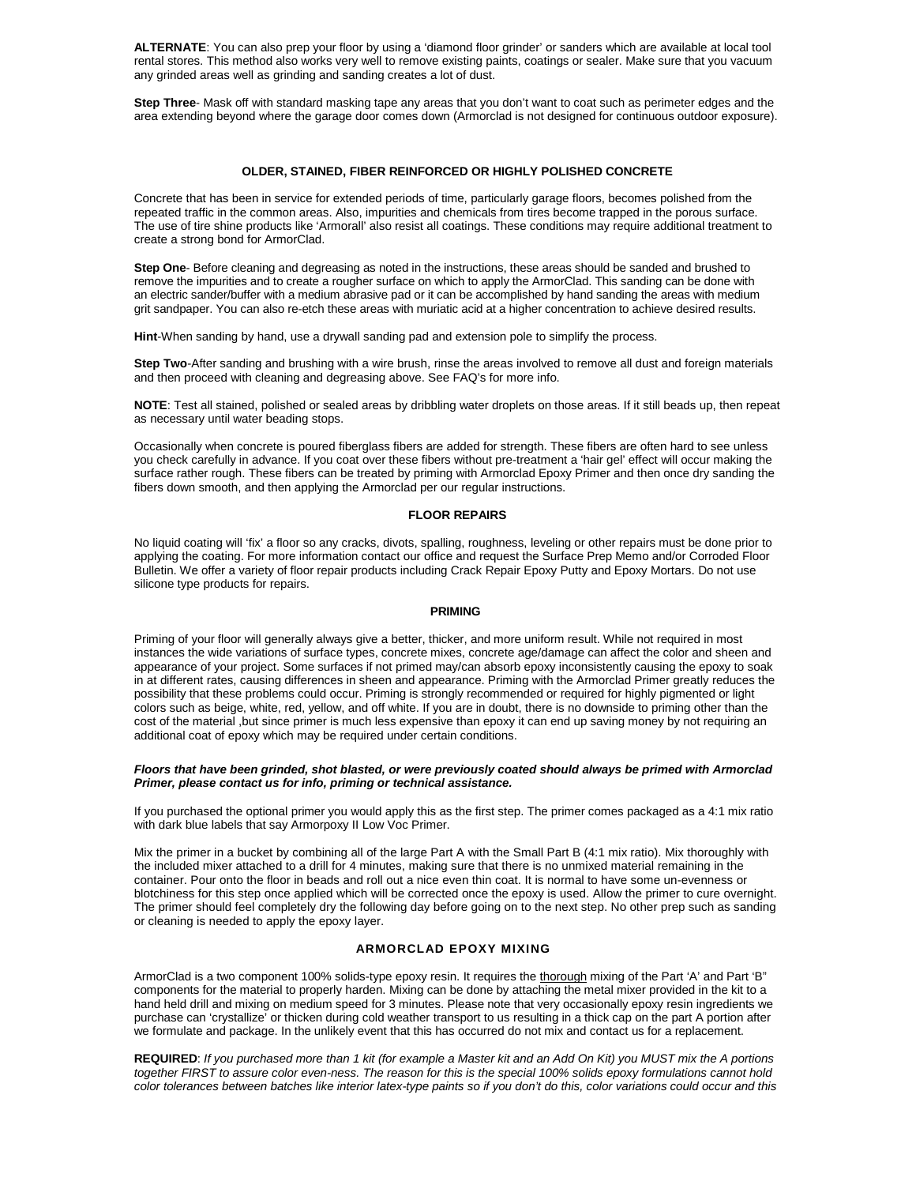**ALTERNATE**: You can also prep your floor by using a 'diamond floor grinder' or sanders which are available at local tool rental stores. This method also works very well to remove existing paints, coatings or sealer. Make sure that you vacuum any grinded areas well as grinding and sanding creates a lot of dust.

**Step Three**- Mask off with standard masking tape any areas that you don't want to coat such as perimeter edges and the area extending beyond where the garage door comes down (Armorclad is not designed for continuous outdoor exposure).

## **OLDER, STAINED, FIBER REINFORCED OR HIGHLY POLISHED CONCRETE**

Concrete that has been in service for extended periods of time, particularly garage floors, becomes polished from the repeated traffic in the common areas. Also, impurities and chemicals from tires become trapped in the porous surface. The use of tire shine products like 'Armorall' also resist all coatings. These conditions may require additional treatment to create a strong bond for ArmorClad.

**Step One**- Before cleaning and degreasing as noted in the instructions, these areas should be sanded and brushed to remove the impurities and to create a rougher surface on which to apply the ArmorClad. This sanding can be done with an electric sander/buffer with a medium abrasive pad or it can be accomplished by hand sanding the areas with medium grit sandpaper. You can also re-etch these areas with muriatic acid at a higher concentration to achieve desired results.

**Hint**-When sanding by hand, use a drywall sanding pad and extension pole to simplify the process.

**Step Two**-After sanding and brushing with a wire brush, rinse the areas involved to remove all dust and foreign materials and then proceed with cleaning and degreasing above. See FAQ's for more info.

**NOTE**: Test all stained, polished or sealed areas by dribbling water droplets on those areas. If it still beads up, then repeat as necessary until water beading stops.

Occasionally when concrete is poured fiberglass fibers are added for strength. These fibers are often hard to see unless you check carefully in advance. If you coat over these fibers without pre-treatment a 'hair gel' effect will occur making the surface rather rough. These fibers can be treated by priming with Armorclad Epoxy Primer and then once dry sanding the fibers down smooth, and then applying the Armorclad per our regular instructions.

#### **FLOOR REPAIRS**

No liquid coating will 'fix' a floor so any cracks, divots, spalling, roughness, leveling or other repairs must be done prior to applying the coating. For more information contact our office and request the Surface Prep Memo and/or Corroded Floor Bulletin. We offer a variety of floor repair products including Crack Repair Epoxy Putty and Epoxy Mortars. Do not use silicone type products for repairs.

#### **PRIMING**

Priming of your floor will generally always give a better, thicker, and more uniform result. While not required in most instances the wide variations of surface types, concrete mixes, concrete age/damage can affect the color and sheen and appearance of your project. Some surfaces if not primed may/can absorb epoxy inconsistently causing the epoxy to soak in at different rates, causing differences in sheen and appearance. Priming with the Armorclad Primer greatly reduces the possibility that these problems could occur. Priming is strongly recommended or required for highly pigmented or light colors such as beige, white, red, yellow, and off white. If you are in doubt, there is no downside to priming other than the cost of the material ,but since primer is much less expensive than epoxy it can end up saving money by not requiring an additional coat of epoxy which may be required under certain conditions.

### *Floors that have been grinded, shot blasted, or were previously coated should always be primed with Armorclad Primer, please contact us for info, priming or technical assistance.*

If you purchased the optional primer you would apply this as the first step. The primer comes packaged as a 4:1 mix ratio with dark blue labels that say Armorpoxy II Low Voc Primer.

Mix the primer in a bucket by combining all of the large Part A with the Small Part B (4:1 mix ratio). Mix thoroughly with the included mixer attached to a drill for 4 minutes, making sure that there is no unmixed material remaining in the container. Pour onto the floor in beads and roll out a nice even thin coat. It is normal to have some un-evenness or blotchiness for this step once applied which will be corrected once the epoxy is used. Allow the primer to cure overnight. The primer should feel completely dry the following day before going on to the next step. No other prep such as sanding or cleaning is needed to apply the epoxy layer.

# **ARMORCLAD EPOXY MIXING**

ArmorClad is a two component 100% solids-type epoxy resin. It requires the thorough mixing of the Part 'A' and Part 'B" components for the material to properly harden. Mixing can be done by attaching the metal mixer provided in the kit to a hand held drill and mixing on medium speed for 3 minutes. Please note that very occasionally epoxy resin ingredients we purchase can 'crystallize' or thicken during cold weather transport to us resulting in a thick cap on the part A portion after we formulate and package. In the unlikely event that this has occurred do not mix and contact us for a replacement.

**REQUIRED**: *If you purchased more than 1 kit (for example a Master kit and an Add On Kit) you MUST mix the A portions together FIRST to assure color even-ness. The reason for this is the special 100% solids epoxy formulations cannot hold color tolerances between batches like interior latex-type paints so if you don't do this, color variations could occur and this*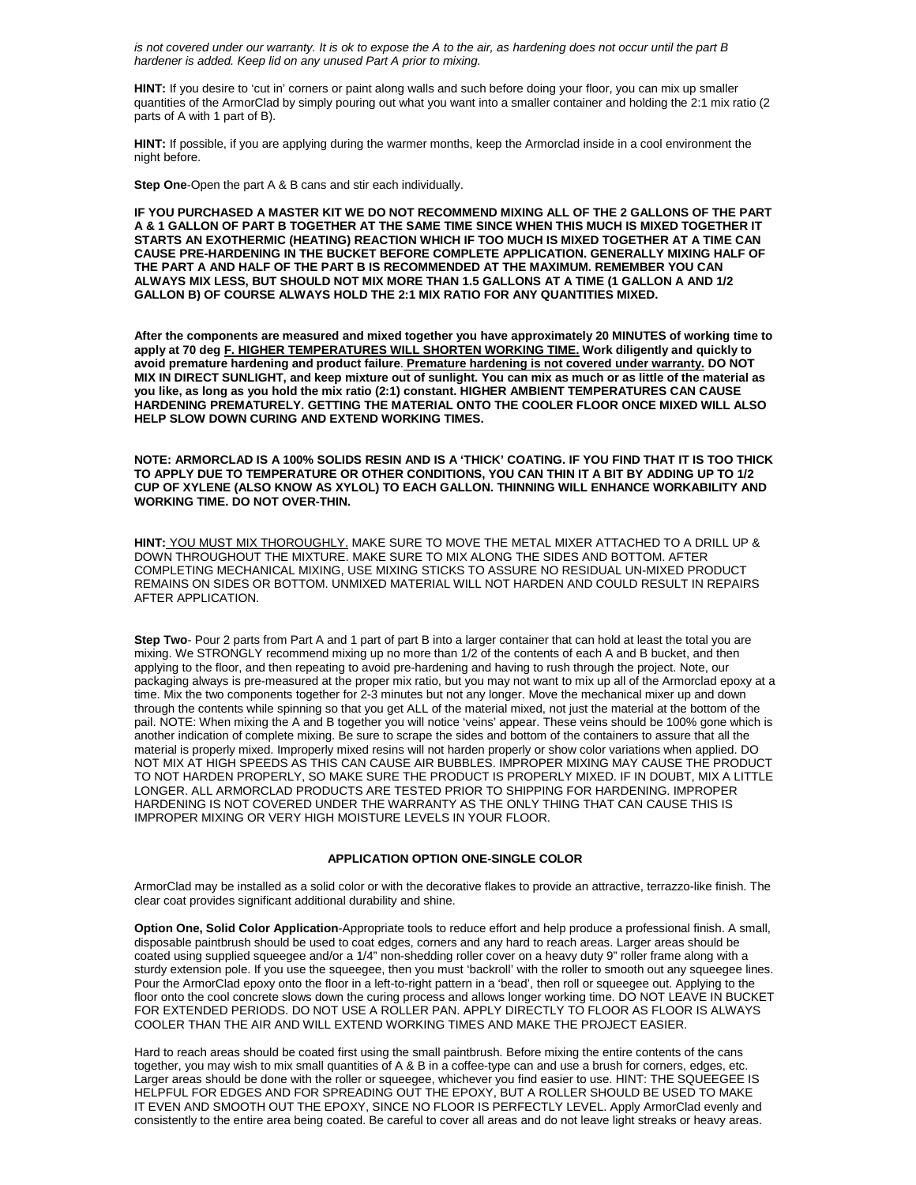*is not covered under our warranty. It is ok to expose the A to the air, as hardening does not occur until the part B hardener is added. Keep lid on any unused Part A prior to mixing.*

**HINT:** If you desire to 'cut in' corners or paint along walls and such before doing your floor, you can mix up smaller quantities of the ArmorClad by simply pouring out what you want into a smaller container and holding the 2:1 mix ratio (2 parts of A with 1 part of B).

**HINT:** If possible, if you are applying during the warmer months, keep the Armorclad inside in a cool environment the night before.

**Step One**-Open the part A & B cans and stir each individually.

**IF YOU PURCHASED A MASTER KIT WE DO NOT RECOMMEND MIXING ALL OF THE 2 GALLONS OF THE PART A & 1 GALLON OF PART B TOGETHER AT THE SAME TIME SINCE WHEN THIS MUCH IS MIXED TOGETHER IT STARTS AN EXOTHERMIC (HEATING) REACTION WHICH IF TOO MUCH IS MIXED TOGETHER AT A TIME CAN CAUSE PRE-HARDENING IN THE BUCKET BEFORE COMPLETE APPLICATION. GENERALLY MIXING HALF OF THE PART A AND HALF OF THE PART B IS RECOMMENDED AT THE MAXIMUM. REMEMBER YOU CAN ALWAYS MIX LESS, BUT SHOULD NOT MIX MORE THAN 1.5 GALLONS AT A TIME (1 GALLON A AND 1/2 GALLON B) OF COURSE ALWAYS HOLD THE 2:1 MIX RATIO FOR ANY QUANTITIES MIXED.**

**After the components are measured and mixed together you have approximately 20 MINUTES of working time to apply at 70 deg F. HIGHER TEMPERATURES WILL SHORTEN WORKING TIME. Work diligently and quickly to avoid premature hardening and product failure**. **Premature hardening is not covered under warranty. DO NOT MIX IN DIRECT SUNLIGHT, and keep mixture out of sunlight. You can mix as much or as little of the material as you like, as long as you hold the mix ratio (2:1) constant. HIGHER AMBIENT TEMPERATURES CAN CAUSE HARDENING PREMATURELY. GETTING THE MATERIAL ONTO THE COOLER FLOOR ONCE MIXED WILL ALSO HELP SLOW DOWN CURING AND EXTEND WORKING TIMES.**

**NOTE: ARMORCLAD IS A 100% SOLIDS RESIN AND IS A 'THICK' COATING. IF YOU FIND THAT IT IS TOO THICK TO APPLY DUE TO TEMPERATURE OR OTHER CONDITIONS, YOU CAN THIN IT A BIT BY ADDING UP TO 1/2 CUP OF XYLENE (ALSO KNOW AS XYLOL) TO EACH GALLON. THINNING WILL ENHANCE WORKABILITY AND WORKING TIME. DO NOT OVER-THIN.**

**HINT:** YOU MUST MIX THOROUGHLY. MAKE SURE TO MOVE THE METAL MIXER ATTACHED TO A DRILL UP & DOWN THROUGHOUT THE MIXTURE. MAKE SURE TO MIX ALONG THE SIDES AND BOTTOM. AFTER COMPLETING MECHANICAL MIXING, USE MIXING STICKS TO ASSURE NO RESIDUAL UN-MIXED PRODUCT REMAINS ON SIDES OR BOTTOM. UNMIXED MATERIAL WILL NOT HARDEN AND COULD RESULT IN REPAIRS AFTER APPLICATION.

**Step Two**- Pour 2 parts from Part A and 1 part of part B into a larger container that can hold at least the total you are mixing. We STRONGLY recommend mixing up no more than 1/2 of the contents of each A and B bucket, and then applying to the floor, and then repeating to avoid pre-hardening and having to rush through the project. Note, our packaging always is pre-measured at the proper mix ratio, but you may not want to mix up all of the Armorclad epoxy at a time. Mix the two components together for 2-3 minutes but not any longer. Move the mechanical mixer up and down through the contents while spinning so that you get ALL of the material mixed, not just the material at the bottom of the pail. NOTE: When mixing the A and B together you will notice 'veins' appear. These veins should be 100% gone which is another indication of complete mixing. Be sure to scrape the sides and bottom of the containers to assure that all the material is properly mixed. Improperly mixed resins will not harden properly or show color variations when applied. DO NOT MIX AT HIGH SPEEDS AS THIS CAN CAUSE AIR BUBBLES. IMPROPER MIXING MAY CAUSE THE PRODUCT TO NOT HARDEN PROPERLY, SO MAKE SURE THE PRODUCT IS PROPERLY MIXED. IF IN DOUBT, MIX A LITTLE LONGER. ALL ARMORCLAD PRODUCTS ARE TESTED PRIOR TO SHIPPING FOR HARDENING. IMPROPER HARDENING IS NOT COVERED UNDER THE WARRANTY AS THE ONLY THING THAT CAN CAUSE THIS IS IMPROPER MIXING OR VERY HIGH MOISTURE LEVELS IN YOUR FLOOR.

# **APPLICATION OPTION ONE-SINGLE COLOR**

ArmorClad may be installed as a solid color or with the decorative flakes to provide an attractive, terrazzo-like finish. The clear coat provides significant additional durability and shine.

**Option One, Solid Color Application**-Appropriate tools to reduce effort and help produce a professional finish. A small, disposable paintbrush should be used to coat edges, corners and any hard to reach areas. Larger areas should be coated using supplied squeegee and/or a 1/4" non-shedding roller cover on a heavy duty 9" roller frame along with a sturdy extension pole. If you use the squeegee, then you must 'backroll' with the roller to smooth out any squeegee lines. Pour the ArmorClad epoxy onto the floor in a left-to-right pattern in a 'bead', then roll or squeegee out. Applying to the floor onto the cool concrete slows down the curing process and allows longer working time. DO NOT LEAVE IN BUCKET FOR EXTENDED PERIODS. DO NOT USE A ROLLER PAN. APPLY DIRECTLY TO FLOOR AS FLOOR IS ALWAYS COOLER THAN THE AIR AND WILL EXTEND WORKING TIMES AND MAKE THE PROJECT EASIER.

Hard to reach areas should be coated first using the small paintbrush. Before mixing the entire contents of the cans together, you may wish to mix small quantities of A & B in a coffee-type can and use a brush for corners, edges, etc. Larger areas should be done with the roller or squeegee, whichever you find easier to use. HINT: THE SQUEEGEE IS HELPFUL FOR EDGES AND FOR SPREADING OUT THE EPOXY, BUT A ROLLER SHOULD BE USED TO MAKE IT EVEN AND SMOOTH OUT THE EPOXY, SINCE NO FLOOR IS PERFECTLY LEVEL. Apply ArmorClad evenly and consistently to the entire area being coated. Be careful to cover all areas and do not leave light streaks or heavy areas.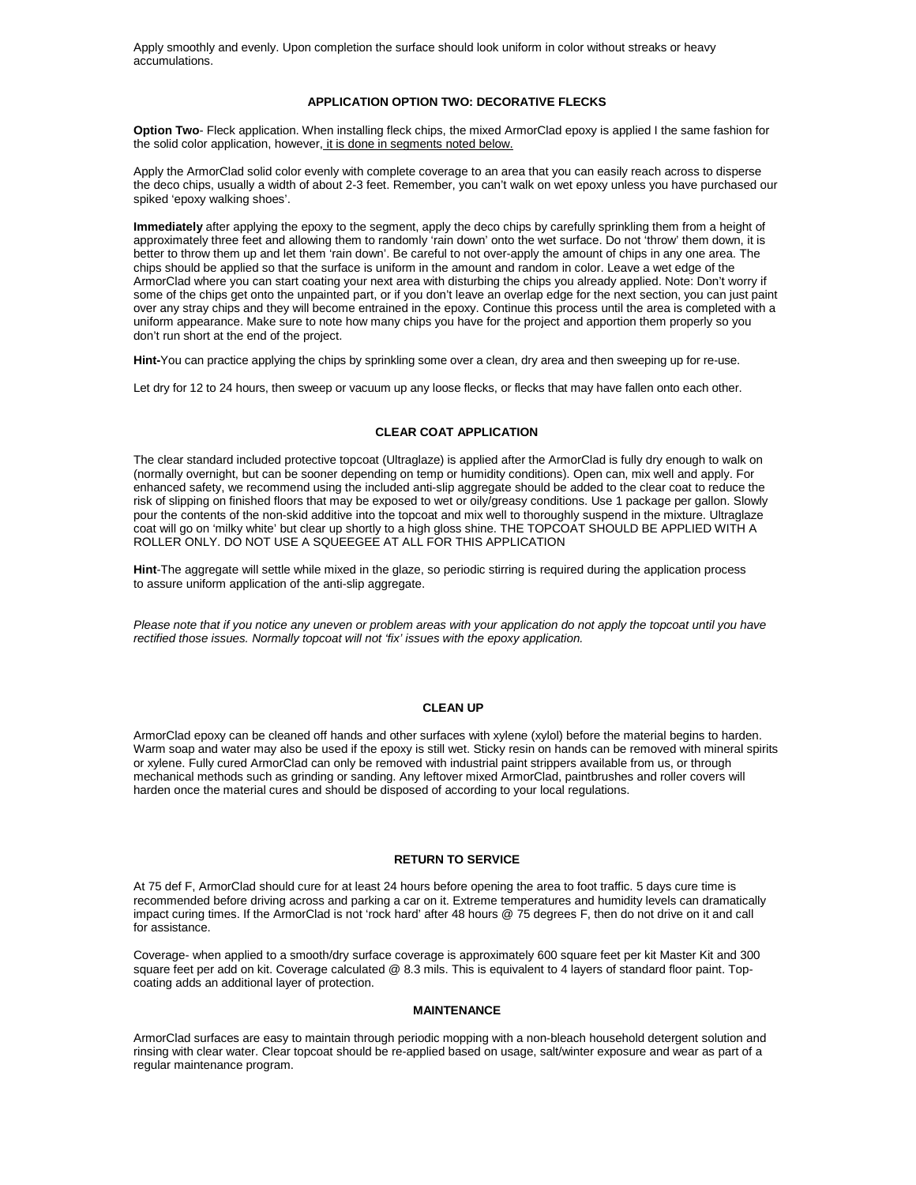Apply smoothly and evenly. Upon completion the surface should look uniform in color without streaks or heavy accumulations.

## **APPLICATION OPTION TWO: DECORATIVE FLECKS**

**Option Two**- Fleck application. When installing fleck chips, the mixed ArmorClad epoxy is applied I the same fashion for the solid color application, however, it is done in segments noted below.

Apply the ArmorClad solid color evenly with complete coverage to an area that you can easily reach across to disperse the deco chips, usually a width of about 2-3 feet. Remember, you can't walk on wet epoxy unless you have purchased our spiked 'epoxy walking shoes'.

**Immediately** after applying the epoxy to the segment, apply the deco chips by carefully sprinkling them from a height of approximately three feet and allowing them to randomly 'rain down' onto the wet surface. Do not 'throw' them down, it is better to throw them up and let them 'rain down'. Be careful to not over-apply the amount of chips in any one area. The chips should be applied so that the surface is uniform in the amount and random in color. Leave a wet edge of the ArmorClad where you can start coating your next area with disturbing the chips you already applied. Note: Don't worry if some of the chips get onto the unpainted part, or if you don't leave an overlap edge for the next section, you can just paint over any stray chips and they will become entrained in the epoxy. Continue this process until the area is completed with a uniform appearance. Make sure to note how many chips you have for the project and apportion them properly so you don't run short at the end of the project.

**Hint-**You can practice applying the chips by sprinkling some over a clean, dry area and then sweeping up for re-use.

Let dry for 12 to 24 hours, then sweep or vacuum up any loose flecks, or flecks that may have fallen onto each other.

# **CLEAR COAT APPLICATION**

The clear standard included protective topcoat (Ultraglaze) is applied after the ArmorClad is fully dry enough to walk on (normally overnight, but can be sooner depending on temp or humidity conditions). Open can, mix well and apply. For enhanced safety, we recommend using the included anti-slip aggregate should be added to the clear coat to reduce the risk of slipping on finished floors that may be exposed to wet or oily/greasy conditions. Use 1 package per gallon. Slowly pour the contents of the non-skid additive into the topcoat and mix well to thoroughly suspend in the mixture. Ultraglaze coat will go on 'milky white' but clear up shortly to a high gloss shine. THE TOPCOAT SHOULD BE APPLIED WITH A ROLLER ONLY. DO NOT USE A SQUEEGEE AT ALL FOR THIS APPLICATION

**Hint**-The aggregate will settle while mixed in the glaze, so periodic stirring is required during the application process to assure uniform application of the anti-slip aggregate.

Please note that if you notice any uneven or problem areas with your application do not apply the topcoat until you have *rectified those issues. Normally topcoat will not 'fix' issues with the epoxy application.*

## **CLEAN UP**

ArmorClad epoxy can be cleaned off hands and other surfaces with xylene (xylol) before the material begins to harden. Warm soap and water may also be used if the epoxy is still wet. Sticky resin on hands can be removed with mineral spirits or xylene. Fully cured ArmorClad can only be removed with industrial paint strippers available from us, or through mechanical methods such as grinding or sanding. Any leftover mixed ArmorClad, paintbrushes and roller covers will harden once the material cures and should be disposed of according to your local regulations.

## **RETURN TO SERVICE**

At 75 def F, ArmorClad should cure for at least 24 hours before opening the area to foot traffic. 5 days cure time is recommended before driving across and parking a car on it. Extreme temperatures and humidity levels can dramatically impact curing times. If the ArmorClad is not 'rock hard' after 48 hours @ 75 degrees F, then do not drive on it and call for assistance.

Coverage- when applied to a smooth/dry surface coverage is approximately 600 square feet per kit Master Kit and 300 square feet per add on kit. Coverage calculated @ 8.3 mils. This is equivalent to 4 layers of standard floor paint. Topcoating adds an additional layer of protection.

## **MAINTENANCE**

ArmorClad surfaces are easy to maintain through periodic mopping with a non-bleach household detergent solution and rinsing with clear water. Clear topcoat should be re-applied based on usage, salt/winter exposure and wear as part of a regular maintenance program.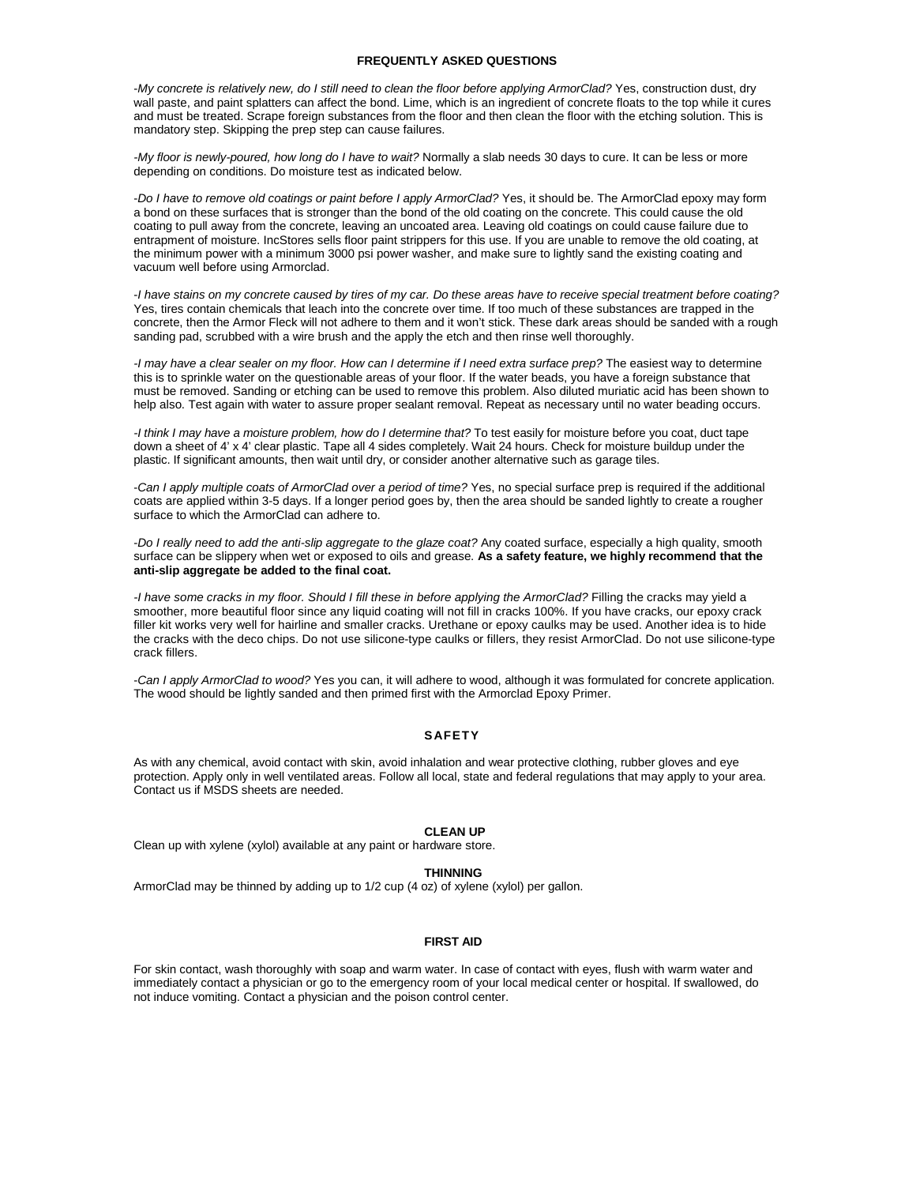# **FREQUENTLY ASKED QUESTIONS**

-*My concrete is relatively new, do I still need to clean the floor before applying ArmorClad?* Yes, construction dust, dry wall paste, and paint splatters can affect the bond. Lime, which is an ingredient of concrete floats to the top while it cures and must be treated. Scrape foreign substances from the floor and then clean the floor with the etching solution. This is mandatory step. Skipping the prep step can cause failures.

*-My floor is newly-poured, how long do I have to wait?* Normally a slab needs 30 days to cure. It can be less or more depending on conditions. Do moisture test as indicated below.

-*Do I have to remove old coatings or paint before I apply ArmorClad?* Yes, it should be. The ArmorClad epoxy may form a bond on these surfaces that is stronger than the bond of the old coating on the concrete. This could cause the old coating to pull away from the concrete, leaving an uncoated area. Leaving old coatings on could cause failure due to entrapment of moisture. IncStores sells floor paint strippers for this use. If you are unable to remove the old coating, at the minimum power with a minimum 3000 psi power washer, and make sure to lightly sand the existing coating and vacuum well before using Armorclad.

-*I have stains on my concrete caused by tires of my car. Do these areas have to receive special treatment before coating?*  Yes, tires contain chemicals that leach into the concrete over time. If too much of these substances are trapped in the concrete, then the Armor Fleck will not adhere to them and it won't stick. These dark areas should be sanded with a rough sanding pad, scrubbed with a wire brush and the apply the etch and then rinse well thoroughly.

*-I may have a clear sealer on my floor. How can I determine if I need extra surface prep?* The easiest way to determine this is to sprinkle water on the questionable areas of your floor. If the water beads, you have a foreign substance that must be removed. Sanding or etching can be used to remove this problem. Also diluted muriatic acid has been shown to help also. Test again with water to assure proper sealant removal. Repeat as necessary until no water beading occurs.

*-I think I may have a moisture problem, how do I determine that?* To test easily for moisture before you coat, duct tape down a sheet of 4' x 4' clear plastic. Tape all 4 sides completely. Wait 24 hours. Check for moisture buildup under the plastic. If significant amounts, then wait until dry, or consider another alternative such as garage tiles.

-*Can I apply multiple coats of ArmorClad over a period of time?* Yes, no special surface prep is required if the additional coats are applied within 3-5 days. If a longer period goes by, then the area should be sanded lightly to create a rougher surface to which the ArmorClad can adhere to.

-*Do I really need to add the anti-slip aggregate to the glaze coat?* Any coated surface, especially a high quality, smooth surface can be slippery when wet or exposed to oils and grease. **As a safety feature, we highly recommend that the anti-slip aggregate be added to the final coat.**

*-I have some cracks in my floor. Should I fill these in before applying the ArmorClad?* Filling the cracks may yield a smoother, more beautiful floor since any liquid coating will not fill in cracks 100%. If you have cracks, our epoxy crack filler kit works very well for hairline and smaller cracks. Urethane or epoxy caulks may be used. Another idea is to hide the cracks with the deco chips. Do not use silicone-type caulks or fillers, they resist ArmorClad. Do not use silicone-type crack fillers.

-*Can I apply ArmorClad to wood?* Yes you can, it will adhere to wood, although it was formulated for concrete application. The wood should be lightly sanded and then primed first with the Armorclad Epoxy Primer.

# **SAFETY**

As with any chemical, avoid contact with skin, avoid inhalation and wear protective clothing, rubber gloves and eye protection. Apply only in well ventilated areas. Follow all local, state and federal regulations that may apply to your area. Contact us if MSDS sheets are needed.

#### **CLEAN UP**

Clean up with xylene (xylol) available at any paint or hardware store.

## **THINNING**

ArmorClad may be thinned by adding up to 1/2 cup (4 oz) of xylene (xylol) per gallon.

## **FIRST AID**

For skin contact, wash thoroughly with soap and warm water. In case of contact with eyes, flush with warm water and immediately contact a physician or go to the emergency room of your local medical center or hospital. If swallowed, do not induce vomiting. Contact a physician and the poison control center.